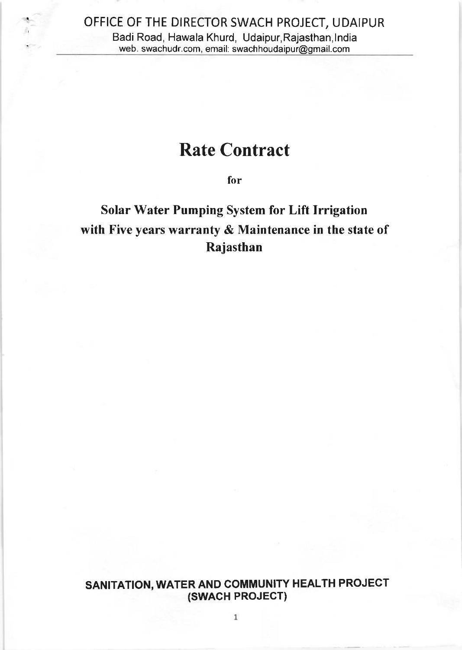# . OFFICE OF THE DIRECTOR SWACH PROJECT, UDAIPUR Badi Road, Hawala Khurd, Udaipur,Rajasthan,lndia ' web. swachudr.com, email: swachhoudaipur@gmail.com

## Rate Contract

for

## Solar Water Pumping System for Lift Irrigation with Five years warranty & Maintenance in the state of Rajasthan

SANITATION, WATER AND COMMUNITY HEALTH PROJECT (swAcH PROJECT)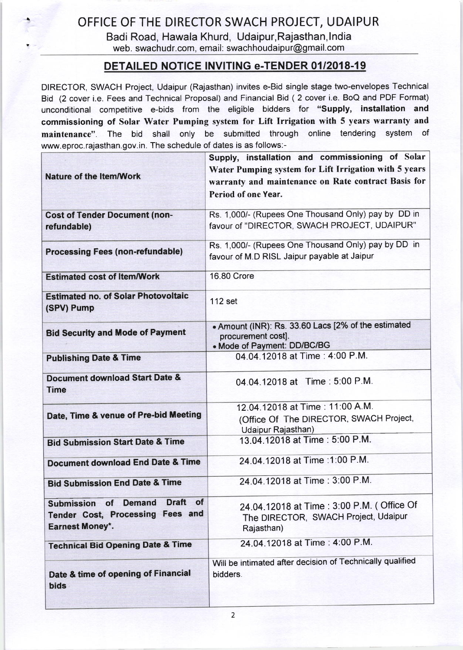## . OFFICE OF THE DIRECTOR SWACH PROJECT, UDAIPUR

Badi Road, Hawala Khurd, Udaipur,Rajasthan,lndia web. swachudr.com, email: swachhoudaipur@gmail.com

#### DETAILED NOTICE INVITING e-TENDER 0112018-19

DIRECTOR, SWACH Project, Udaipur (Rajasthan) invites e-Bid single stage two-envelopes Technical Bid (2 cover i.e. Fees and Technical Proposal) and Financial Bid ( 2 cover i.e. BoQ and PDF Format) unconditional competitive e-bids from the eligible bidders for "Supply, installation and commissioning of Solar Water Pumping system for Lift Irrigation with 5 years warranty and maintenance". The bid shall only be submitted through online tendering system of www.eproc.rajasthan.gov.in. The schedule of dates is as follows:-

|                                                                       | Supply, installation and commissioning of Solar           |  |
|-----------------------------------------------------------------------|-----------------------------------------------------------|--|
| <b>Nature of the Item/Work</b>                                        | Water Pumping system for Lift Irrigation with 5 years     |  |
|                                                                       | warranty and maintenance on Rate contract Basis for       |  |
|                                                                       | Period of one Year.                                       |  |
| <b>Cost of Tender Document (non-</b>                                  | Rs. 1,000/- (Rupees One Thousand Only) pay by DD in       |  |
| refundable)                                                           | favour of "DIRECTOR, SWACH PROJECT, UDAIPUR"              |  |
| <b>Processing Fees (non-refundable)</b>                               | Rs. 1,000/- (Rupees One Thousand Only) pay by DD in       |  |
|                                                                       | favour of M.D RISL Jaipur payable at Jaipur               |  |
| <b>Estimated cost of Item/Work</b>                                    | <b>16.80 Crore</b>                                        |  |
| <b>Estimated no. of Solar Photovoltaic</b>                            | $112$ set                                                 |  |
| (SPV) Pump                                                            |                                                           |  |
|                                                                       | . Amount (INR): Rs. 33.60 Lacs [2% of the estimated       |  |
| <b>Bid Security and Mode of Payment</b>                               | procurement cost].<br>. Mode of Payment: DD/BC/BG         |  |
| <b>Publishing Date &amp; Time</b>                                     | 04.04.12018 at Time: 4:00 P.M.                            |  |
|                                                                       |                                                           |  |
| <b>Document download Start Date &amp;</b>                             | 04.04.12018 at Time: 5:00 P.M.                            |  |
| <b>Time</b>                                                           |                                                           |  |
|                                                                       | 12.04.12018 at Time: 11:00 A.M.                           |  |
| Date, Time & venue of Pre-bid Meeting                                 | (Office Of The DIRECTOR, SWACH Project,                   |  |
|                                                                       | Udaipur Rajasthan)<br>13.04.12018 at Time: 5:00 P.M.      |  |
| <b>Bid Submission Start Date &amp; Time</b>                           |                                                           |  |
| <b>Document download End Date &amp; Time</b>                          | 24.04.12018 at Time : 1:00 P.M.                           |  |
| <b>Bid Submission End Date &amp; Time</b>                             | 24.04.12018 at Time: 3:00 P.M.                            |  |
| <b>Draft</b><br>of<br><b>Demand</b><br><b>of</b><br><b>Submission</b> | 24.04.12018 at Time: 3:00 P.M. (Office Of                 |  |
| Tender Cost, Processing Fees and                                      | The DIRECTOR, SWACH Project, Udaipur                      |  |
| <b>Earnest Money*.</b>                                                | Rajasthan)                                                |  |
| <b>Technical Bid Opening Date &amp; Time</b>                          | 24.04.12018 at Time: 4:00 P.M.                            |  |
|                                                                       | Will be intimated after decision of Technically qualified |  |
| Date & time of opening of Financial                                   | bidders.                                                  |  |
| <b>bids</b>                                                           |                                                           |  |
|                                                                       |                                                           |  |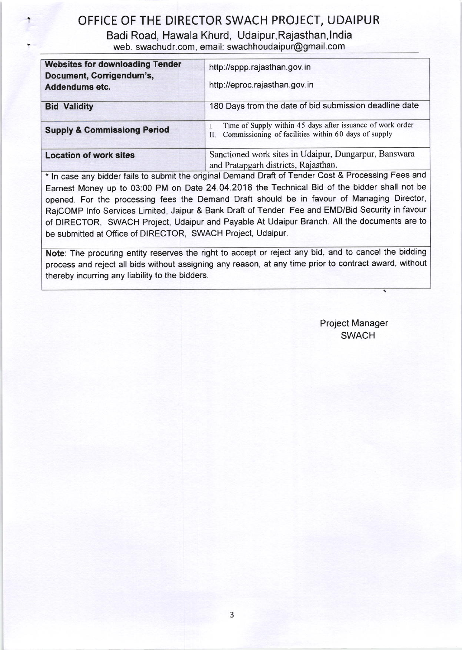### . OFFICE OF THE DIRECTOR SWACH PROJECT, UDAIPUR

Badi Road, Hawala Khurd, Udaipur, Rajasthan,lndia

web. swachudr.com, email: swachhoudaipur@gmail.com

| <b>Websites for downloading Tender</b><br>Document, Corrigendum's,<br>Addendums etc. | http://sppp.rajasthan.gov.in<br>http://eproc.rajasthan.gov.in                                                            |
|--------------------------------------------------------------------------------------|--------------------------------------------------------------------------------------------------------------------------|
| <b>Bid Validity</b>                                                                  | 180 Days from the date of bid submission deadline date                                                                   |
| <b>Supply &amp; Commissiong Period</b>                                               | Time of Supply within 45 days after issuance of work order<br>Commissioning of facilities within 60 days of supply<br>П. |
| <b>Location of work sites</b>                                                        | Sanctioned work sites in Udaipur, Dungarpur, Banswara<br>and Pratapgarh districts, Rajasthan.                            |

\* ln case any bidder fails to submit the original Demand Draft of Tender Cost & Processing Fees and Earnest Money up to 03:00 PM on Date 24.04.2018 the Technical Bid of the bidder shall not be opened. For the processing fees the Demand Draft should be in favour of Managing Director, RajCOMP lnfo Services Limited, Jaipur & Bank Draft of Tender Fee and EMD/Bid Security in favour of DIRECTOR, SWACH Project, Udaipur and Payable At Udaipur Branch. All the documents are to be submitted at Office of DIRECTOR, SWACH Project, Udaipur.

Note: The procuring entity reserves the right to accept or reject any bid, and to cancel the bidding process and reject all bids without assigning any reason, at any time prior to contract award, without thereby incurring any liability to the bidders.

> Project Manager SWACH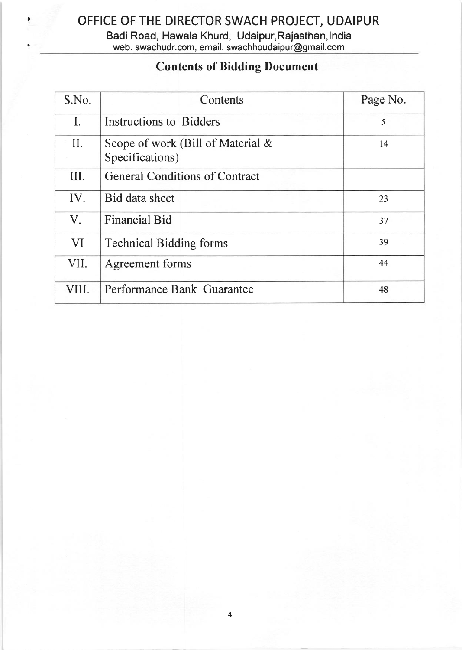### . OFFICE OF THE DIRECTOR SWACH PROJECT, UDAIPUR Badi Road, Hawala Khurd, Udaipur,Rajasthan,lndia web. swachudr.com, email: swachhoudaipur@gmail.com

## Contents of Bidding Document

| S.No.          | Contents                                                | Page No. |
|----------------|---------------------------------------------------------|----------|
| $\mathbf{I}$ . | <b>Instructions to Bidders</b>                          | 5        |
| $\prod$ .      | Scope of work (Bill of Material $\&$<br>Specifications) | 14       |
| III.           | <b>General Conditions of Contract</b>                   |          |
| IV.            | Bid data sheet                                          | 23       |
| $V_{\cdot}$    | <b>Financial Bid</b>                                    | 37       |
| VI             | 39<br><b>Technical Bidding forms</b>                    |          |
| VII.           | Agreement forms                                         | 44       |
| TН             | Performance Bank Guarantee                              |          |